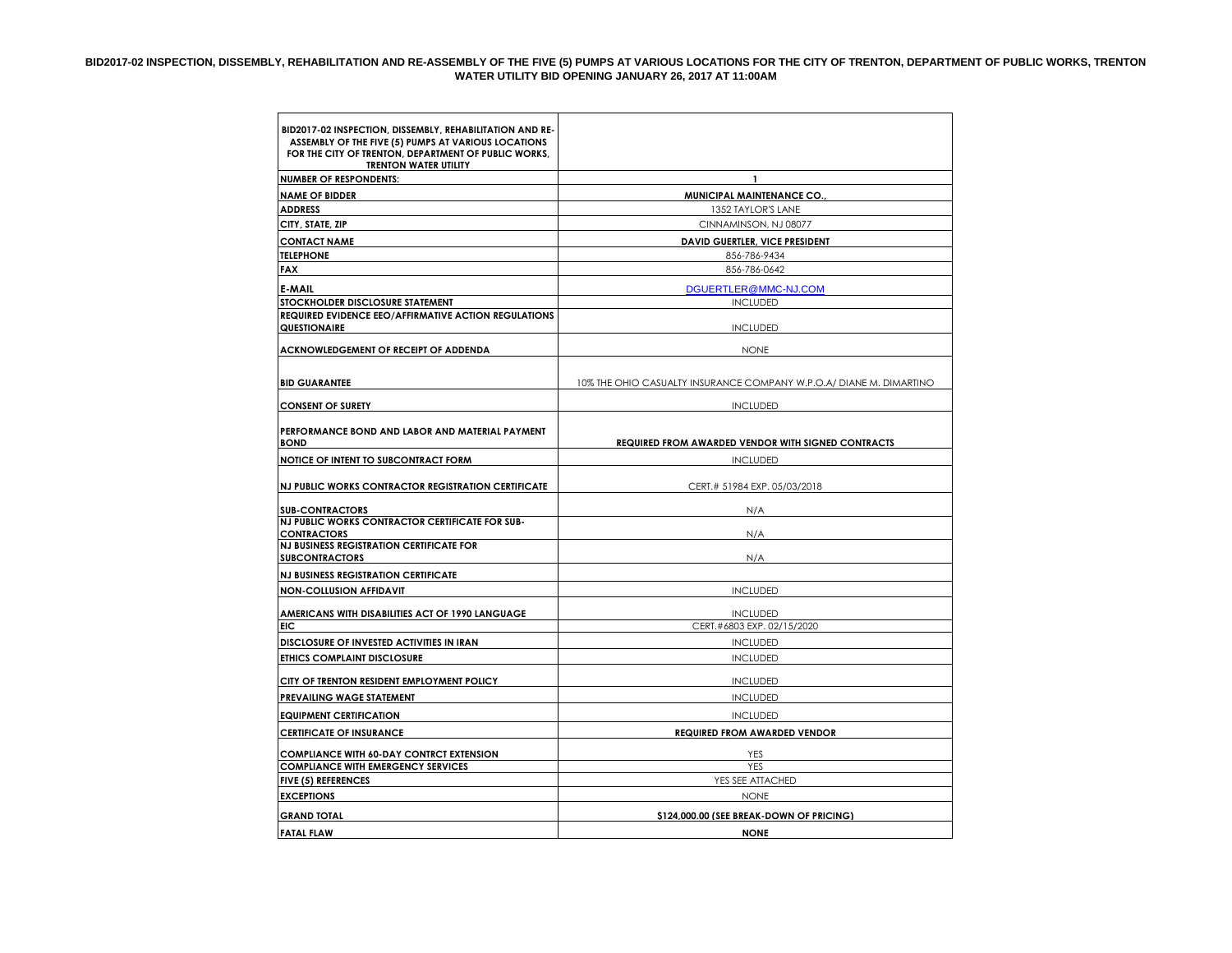## **BID2017-02 INSPECTION, DISSEMBLY, REHABILITATION AND RE-ASSEMBLY OF THE FIVE (5) PUMPS AT VARIOUS LOCATIONS FOR THE CITY OF TRENTON, DEPARTMENT OF PUBLIC WORKS, TRENTON WATER UTILITY BID OPENING JANUARY 26, 2017 AT 11:00AM**

| BID2017-02 INSPECTION, DISSEMBLY, REHABILITATION AND RE-<br>ASSEMBLY OF THE FIVE (5) PUMPS AT VARIOUS LOCATIONS<br>FOR THE CITY OF TRENTON, DEPARTMENT OF PUBLIC WORKS,<br><b>TRENTON WATER UTILITY</b> |                                                                     |  |
|---------------------------------------------------------------------------------------------------------------------------------------------------------------------------------------------------------|---------------------------------------------------------------------|--|
| <b>NUMBER OF RESPONDENTS:</b>                                                                                                                                                                           | $\mathbf{1}$                                                        |  |
| <b>NAME OF BIDDER</b>                                                                                                                                                                                   | MUNICIPAL MAINTENANCE CO.                                           |  |
| <b>ADDRESS</b>                                                                                                                                                                                          | 1352 TAYLOR'S LANE                                                  |  |
| CITY, STATE, ZIP                                                                                                                                                                                        | CINNAMINSON, NJ 08077                                               |  |
| <b>CONTACT NAME</b>                                                                                                                                                                                     | <b>DAVID GUERTLER, VICE PRESIDENT</b>                               |  |
| <b>TELEPHONE</b>                                                                                                                                                                                        | 856-786-9434                                                        |  |
| <b>FAX</b>                                                                                                                                                                                              | 856-786-0642                                                        |  |
| E-MAIL                                                                                                                                                                                                  | DGUERTLER@MMC-NJ.COM                                                |  |
| STOCKHOLDER DISCLOSURE STATEMENT                                                                                                                                                                        | <b>INCLUDED</b>                                                     |  |
| <b>REQUIRED EVIDENCE EEO/AFFIRMATIVE ACTION REGULATIONS</b><br><b>QUESTIONAIRE</b>                                                                                                                      | <b>INCLUDED</b>                                                     |  |
| ACKNOWLEDGEMENT OF RECEIPT OF ADDENDA                                                                                                                                                                   | <b>NONE</b>                                                         |  |
| <b>BID GUARANTEE</b>                                                                                                                                                                                    | 10% THE OHIO CASUALTY INSURANCE COMPANY W.P.O.A/ DIANE M. DIMARTINO |  |
| <b>CONSENT OF SURETY</b>                                                                                                                                                                                | <b>INCLUDED</b>                                                     |  |
| PERFORMANCE BOND AND LABOR AND MATERIAL PAYMENT<br><b>BOND</b>                                                                                                                                          | <b>REQUIRED FROM AWARDED VENDOR WITH SIGNED CONTRACTS</b>           |  |
| NOTICE OF INTENT TO SUBCONTRACT FORM                                                                                                                                                                    | <b>INCLUDED</b>                                                     |  |
| NJ PUBLIC WORKS CONTRACTOR REGISTRATION CERTIFICATE                                                                                                                                                     | CERT.# 51984 EXP. 05/03/2018                                        |  |
| <b>SUB-CONTRACTORS</b>                                                                                                                                                                                  | N/A                                                                 |  |
| NJ PUBLIC WORKS CONTRACTOR CERTIFICATE FOR SUB-<br><b>CONTRACTORS</b>                                                                                                                                   | N/A                                                                 |  |
| <b>NJ BUSINESS REGISTRATION CERTIFICATE FOR</b><br><b>SUBCONTRACTORS</b>                                                                                                                                | N/A                                                                 |  |
| <b>NJ BUSINESS REGISTRATION CERTIFICATE</b>                                                                                                                                                             |                                                                     |  |
| <b>NON-COLLUSION AFFIDAVIT</b>                                                                                                                                                                          | <b>INCLUDED</b>                                                     |  |
| AMERICANS WITH DISABILITIES ACT OF 1990 LANGUAGE                                                                                                                                                        | <b>INCLUDED</b>                                                     |  |
| EIC                                                                                                                                                                                                     | CERT.#6803 EXP. 02/15/2020                                          |  |
| DISCLOSURE OF INVESTED ACTIVITIES IN IRAN                                                                                                                                                               | <b>INCLUDED</b>                                                     |  |
| <b>ETHICS COMPLAINT DISCLOSURE</b>                                                                                                                                                                      | <b>INCLUDED</b>                                                     |  |
| CITY OF TRENTON RESIDENT EMPLOYMENT POLICY                                                                                                                                                              | <b>INCLUDED</b>                                                     |  |
| PREVAILING WAGE STATEMENT                                                                                                                                                                               | <b>INCLUDED</b>                                                     |  |
| <b>EQUIPMENT CERTIFICATION</b>                                                                                                                                                                          | <b>INCLUDED</b>                                                     |  |
| <b>CERTIFICATE OF INSURANCE</b>                                                                                                                                                                         | <b>REQUIRED FROM AWARDED VENDOR</b>                                 |  |
| <b>COMPLIANCE WITH 60-DAY CONTRCT EXTENSION</b>                                                                                                                                                         | YES                                                                 |  |
| <b>COMPLIANCE WITH EMERGENCY SERVICES</b>                                                                                                                                                               | <b>YES</b>                                                          |  |
| <b>FIVE (5) REFERENCES</b>                                                                                                                                                                              | YES SEE ATTACHED                                                    |  |
| <b>EXCEPTIONS</b>                                                                                                                                                                                       | <b>NONE</b>                                                         |  |
| <b>GRAND TOTAL</b>                                                                                                                                                                                      | \$124,000.00 (SEE BREAK-DOWN OF PRICING)                            |  |
| <b>FATAL FLAW</b>                                                                                                                                                                                       | <b>NONE</b>                                                         |  |